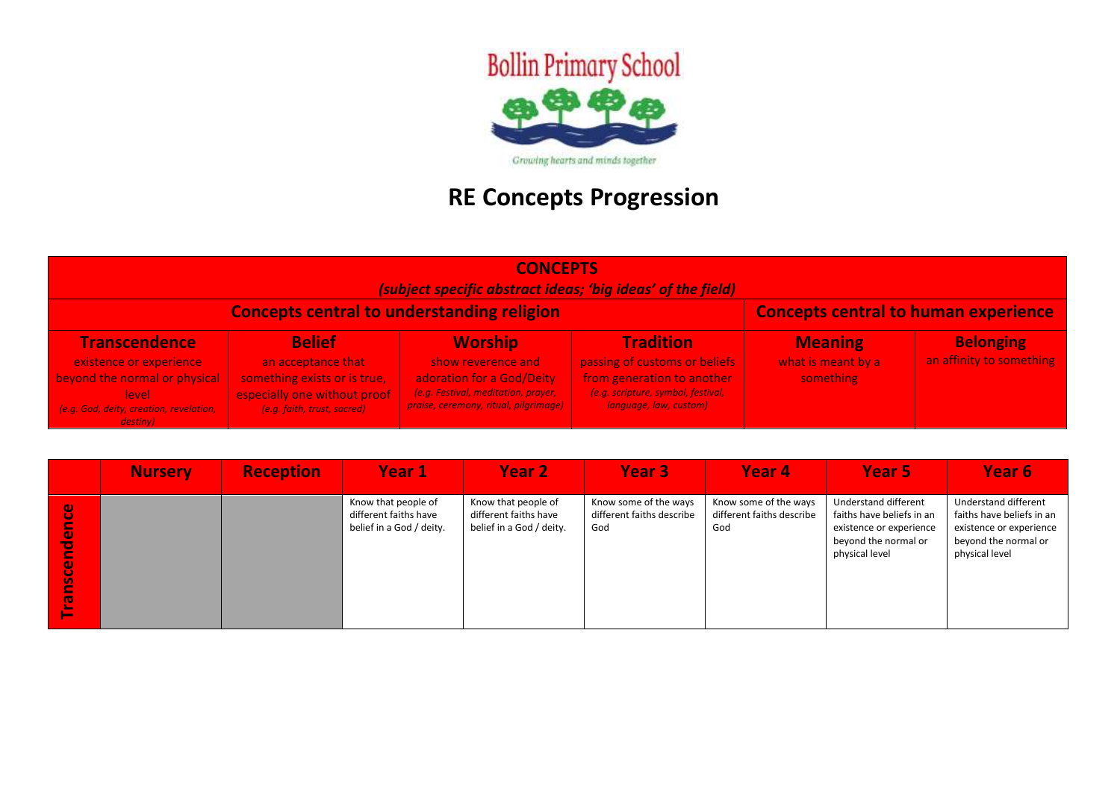

## **RE Concepts Progression**

| <b>CONCEPTS</b><br>(subject specific abstract ideas; 'big ideas' of the field)                   |                                                                                                     |                                                                                                          |                                                                                                                       |                                                   |                                              |  |  |
|--------------------------------------------------------------------------------------------------|-----------------------------------------------------------------------------------------------------|----------------------------------------------------------------------------------------------------------|-----------------------------------------------------------------------------------------------------------------------|---------------------------------------------------|----------------------------------------------|--|--|
| <b>Concepts central to human experience</b><br><b>Concepts central to understanding religion</b> |                                                                                                     |                                                                                                          |                                                                                                                       |                                                   |                                              |  |  |
| <b>Transcendence</b><br>existence or experience<br>beyond the normal or physical<br><b>level</b> | <b>Belief</b><br>an acceptance that<br>something exists or is true,<br>especially one without proof | <b>Worship</b><br>show reverence and<br>adoration for a God/Deity<br>(e.g. Festival, meditation, prayer, | <b>Tradition</b><br>passing of customs or beliefs<br>from generation to another<br>(e.g. scripture, symbol, festival, | <b>Meaning</b><br>what is meant by a<br>something | <b>Belonging</b><br>an affinity to something |  |  |
| (e.g. God, deity, creation, revelation,<br>destiny)                                              | (e.g. faith, trust, sacred)                                                                         | praise, ceremony, ritual, pilgrimage)                                                                    | language, law, custom)                                                                                                |                                                   |                                              |  |  |

|                                                           | <b>Nursery</b> | <b>Reception</b> | Year 1                                                                   | Year <sub>2</sub>                                                        | Year <sub>3</sub>                                         | Year 4                                                    | Year 5                                                                                                                 | Year 6                                                                                                                 |
|-----------------------------------------------------------|----------------|------------------|--------------------------------------------------------------------------|--------------------------------------------------------------------------|-----------------------------------------------------------|-----------------------------------------------------------|------------------------------------------------------------------------------------------------------------------------|------------------------------------------------------------------------------------------------------------------------|
| ပ္ပ<br>E<br>0<br>Ъ<br><b>nscen</b><br><b>CD</b><br>$\sim$ |                |                  | Know that people of<br>different faiths have<br>belief in a God / deity. | Know that people of<br>different faiths have<br>belief in a God / deity. | Know some of the ways<br>different faiths describe<br>God | Know some of the ways<br>different faiths describe<br>God | Understand different<br>faiths have beliefs in an<br>existence or experience<br>beyond the normal or<br>physical level | Understand different<br>faiths have beliefs in an<br>existence or experience<br>beyond the normal or<br>physical level |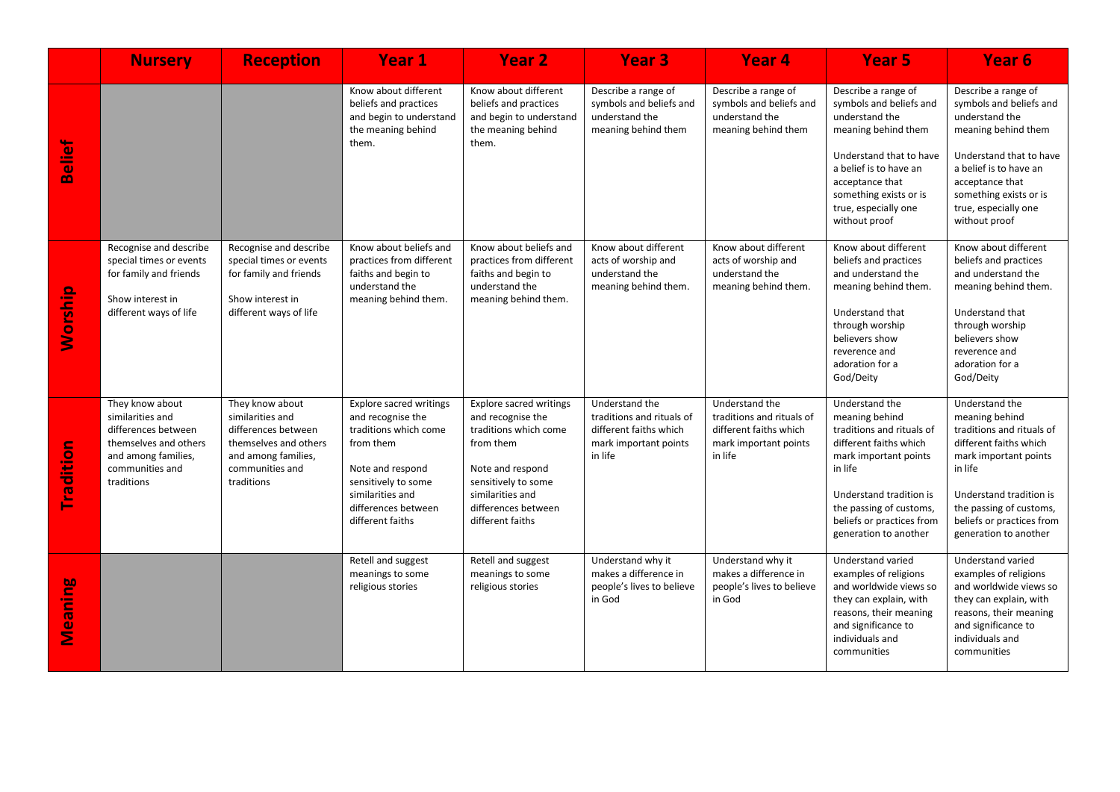|                | <b>Nursery</b>                                                                                                                              | <b>Reception</b>                                                                                                                            | <b>Year 1</b>                                                                                                                                                                                       | Year <sub>2</sub>                                                                                                                                                                                   | <b>Year 3</b>                                                                                             | <b>Year 4</b>                                                                                             | Year <sub>5</sub>                                                                                                                                                                                                                       | Year <sub>6</sub>                                                                                                                                                                                                                       |
|----------------|---------------------------------------------------------------------------------------------------------------------------------------------|---------------------------------------------------------------------------------------------------------------------------------------------|-----------------------------------------------------------------------------------------------------------------------------------------------------------------------------------------------------|-----------------------------------------------------------------------------------------------------------------------------------------------------------------------------------------------------|-----------------------------------------------------------------------------------------------------------|-----------------------------------------------------------------------------------------------------------|-----------------------------------------------------------------------------------------------------------------------------------------------------------------------------------------------------------------------------------------|-----------------------------------------------------------------------------------------------------------------------------------------------------------------------------------------------------------------------------------------|
| Belief         |                                                                                                                                             |                                                                                                                                             | Know about different<br>beliefs and practices<br>and begin to understand<br>the meaning behind<br>them.                                                                                             | Know about different<br>beliefs and practices<br>and begin to understand<br>the meaning behind<br>them.                                                                                             | Describe a range of<br>symbols and beliefs and<br>understand the<br>meaning behind them                   | Describe a range of<br>symbols and beliefs and<br>understand the<br>meaning behind them                   | Describe a range of<br>symbols and beliefs and<br>understand the<br>meaning behind them<br>Understand that to have<br>a belief is to have an<br>acceptance that<br>something exists or is<br>true, especially one<br>without proof      | Describe a range of<br>symbols and beliefs and<br>understand the<br>meaning behind them<br>Understand that to have<br>a belief is to have an<br>acceptance that<br>something exists or is<br>true, especially one<br>without proof      |
| Worship        | Recognise and describe<br>special times or events<br>for family and friends<br>Show interest in<br>different ways of life                   | Recognise and describe<br>special times or events<br>for family and friends<br>Show interest in<br>different ways of life                   | Know about beliefs and<br>practices from different<br>faiths and begin to<br>understand the<br>meaning behind them.                                                                                 | Know about beliefs and<br>practices from different<br>faiths and begin to<br>understand the<br>meaning behind them.                                                                                 | Know about different<br>acts of worship and<br>understand the<br>meaning behind them.                     | Know about different<br>acts of worship and<br>understand the<br>meaning behind them.                     | Know about different<br>beliefs and practices<br>and understand the<br>meaning behind them.<br>Understand that<br>through worship<br>believers show<br>reverence and<br>adoration for a<br>God/Deity                                    | Know about different<br>beliefs and practices<br>and understand the<br>meaning behind them.<br>Understand that<br>through worship<br>believers show<br>reverence and<br>adoration for a<br>God/Deity                                    |
| Tradition      | They know about<br>similarities and<br>differences between<br>themselves and others<br>and among families,<br>communities and<br>traditions | They know about<br>similarities and<br>differences between<br>themselves and others<br>and among families,<br>communities and<br>traditions | <b>Explore sacred writings</b><br>and recognise the<br>traditions which come<br>from them<br>Note and respond<br>sensitively to some<br>similarities and<br>differences between<br>different faiths | <b>Explore sacred writings</b><br>and recognise the<br>traditions which come<br>from them<br>Note and respond<br>sensitively to some<br>similarities and<br>differences between<br>different faiths | Understand the<br>traditions and rituals of<br>different faiths which<br>mark important points<br>in life | Understand the<br>traditions and rituals of<br>different faiths which<br>mark important points<br>in life | Understand the<br>meaning behind<br>traditions and rituals of<br>different faiths which<br>mark important points<br>in life<br>Understand tradition is<br>the passing of customs,<br>beliefs or practices from<br>generation to another | Understand the<br>meaning behind<br>traditions and rituals of<br>different faiths which<br>mark important points<br>in life<br>Understand tradition is<br>the passing of customs,<br>beliefs or practices from<br>generation to another |
| <b>Meaning</b> |                                                                                                                                             |                                                                                                                                             | Retell and suggest<br>meanings to some<br>religious stories                                                                                                                                         | Retell and suggest<br>meanings to some<br>religious stories                                                                                                                                         | Understand why it<br>makes a difference in<br>people's lives to believe<br>in God                         | Understand why it<br>makes a difference in<br>people's lives to believe<br>in God                         | Understand varied<br>examples of religions<br>and worldwide views so<br>they can explain, with<br>reasons, their meaning<br>and significance to<br>individuals and<br>communities                                                       | Understand varied<br>examples of religions<br>and worldwide views so<br>they can explain, with<br>reasons, their meaning<br>and significance to<br>individuals and<br>communities                                                       |